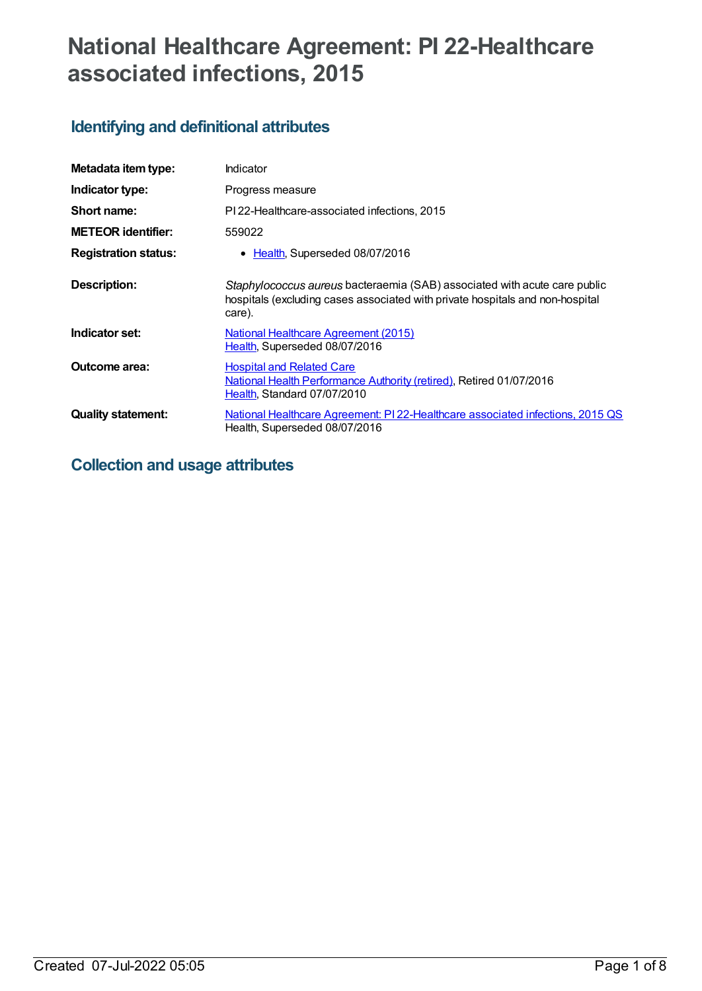# **National Healthcare Agreement: PI 22-Healthcare associated infections, 2015**

## **Identifying and definitional attributes**

| Metadata item type:         | Indicator                                                                                                                                                            |
|-----------------------------|----------------------------------------------------------------------------------------------------------------------------------------------------------------------|
| Indicator type:             | Progress measure                                                                                                                                                     |
| Short name:                 | PI 22-Healthcare-associated infections, 2015                                                                                                                         |
| <b>METEOR identifier:</b>   | 559022                                                                                                                                                               |
| <b>Registration status:</b> | Health, Superseded 08/07/2016<br>$\bullet$                                                                                                                           |
| Description:                | Staphylococcus aureus bacteraemia (SAB) associated with acute care public<br>hospitals (excluding cases associated with private hospitals and non-hospital<br>care). |
| Indicator set:              | <b>National Healthcare Agreement (2015)</b><br>Health, Superseded 08/07/2016                                                                                         |
| <b>Outcome area:</b>        | <b>Hospital and Related Care</b><br>National Health Performance Authority (retired), Retired 01/07/2016<br>Health, Standard 07/07/2010                               |
| <b>Quality statement:</b>   | National Healthcare Agreement: PI 22-Healthcare associated infections, 2015 QS<br>Health, Superseded 08/07/2016                                                      |

## **Collection and usage attributes**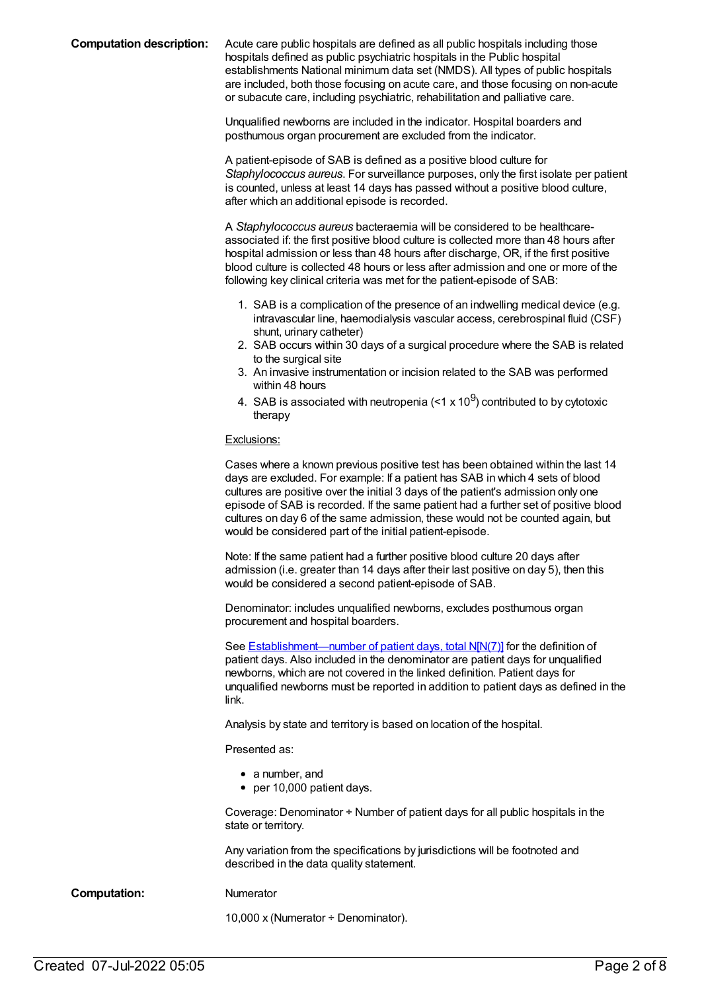**Computation description:** Acute care public hospitals are defined as all public hospitals including those hospitals defined as public psychiatric hospitals in the Public hospital establishments National minimum data set (NMDS). All types of public hospitals are included, both those focusing on acute care, and those focusing on non-acute or subacute care, including psychiatric, rehabilitation and palliative care.

> Unqualified newborns are included in the indicator. Hospital boarders and posthumous organ procurement are excluded from the indicator.

A patient-episode of SAB is defined as a positive blood culture for *Staphylococcus aureus*. For surveillance purposes, only the first isolate per patient is counted, unless at least 14 days has passed without a positive blood culture, after which an additional episode is recorded.

A *Staphylococcus aureus* bacteraemia will be considered to be healthcareassociated if: the first positive blood culture is collected more than 48 hours after hospital admission or less than 48 hours after discharge, OR, if the first positive blood culture is collected 48 hours or less after admission and one or more of the following key clinical criteria was met for the patient-episode of SAB:

- 1. SAB is a complication of the presence of an indwelling medical device (e.g. intravascular line, haemodialysis vascular access, cerebrospinal fluid (CSF) shunt, urinary catheter)
- 2. SAB occurs within 30 days of a surgical procedure where the SAB is related to the surgical site
- 3. An invasive instrumentation or incision related to the SAB was performed within 48 hours
- 4. SAB is associated with neutropenia (<1 x 10 $^{9}$ ) contributed to by cytotoxic therapy

#### Exclusions:

Cases where a known previous positive test has been obtained within the last 14 days are excluded. For example: If a patient has SAB in which 4 sets of blood cultures are positive over the initial 3 days of the patient's admission only one episode of SAB is recorded. If the same patient had a further set of positive blood cultures on day 6 of the same admission, these would not be counted again, but would be considered part of the initial patient-episode.

Note: If the same patient had a further positive blood culture 20 days after admission (i.e. greater than 14 days after their last positive on day 5), then this would be considered a second patient-episode of SAB.

Denominator: includes unqualified newborns, excludes posthumous organ procurement and hospital boarders.

See **[Establishment—number](file:///content/270045) of patient days, total N[N(7)]** for the definition of patient days. Also included in the denominator are patient days for unqualified newborns, which are not covered in the linked definition. Patient days for unqualified newborns must be reported in addition to patient days as defined in the link.

Analysis by state and territory is based on location of the hospital.

Presented as:

- a number, and
- per 10,000 patient days.

Coverage: Denominator ÷ Number of patient days for all public hospitals in the state or territory.

Any variation from the specifications by jurisdictions will be footnoted and described in the data quality statement.

**Computation:** Numerator

10,000 x (Numerator ÷ Denominator).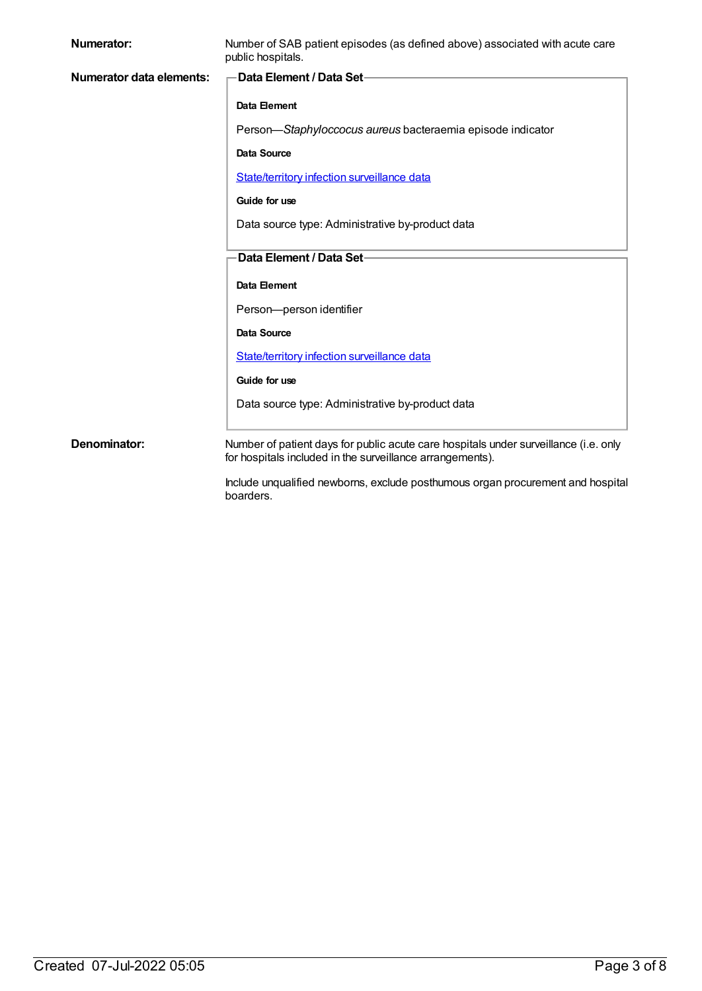| <b>Numerator:</b>               | Number of SAB patient episodes (as defined above) associated with acute care<br>public hospitals. |
|---------------------------------|---------------------------------------------------------------------------------------------------|
| <b>Numerator data elements:</b> | <b>Data Element / Data Set-</b>                                                                   |
|                                 | Data Element                                                                                      |
|                                 | Person-Staphyloccocus aureus bacteraemia episode indicator                                        |
|                                 | <b>Data Source</b>                                                                                |
|                                 | <b>State/territory infection surveillance data</b>                                                |
|                                 | Guide for use                                                                                     |
|                                 | Data source type: Administrative by-product data                                                  |
|                                 | Data Element / Data Set-                                                                          |
|                                 | Data Element                                                                                      |
|                                 | Person-person identifier                                                                          |
|                                 | Data Source                                                                                       |
|                                 | State/territory infection surveillance data                                                       |
|                                 | Guide for use                                                                                     |
|                                 | Data source type: Administrative by-product data                                                  |
| Denominator:                    | Number of patient days for public acute care hospitals under surveillance (i.e. only              |
|                                 | for hospitals included in the surveillance arrangements).                                         |
|                                 | Include unqualified newborns, exclude posthumous organ procurement and hospital                   |

Include unqualified newborns, exclude posthumous organ procurement and hospital **include** unique<br>boarders.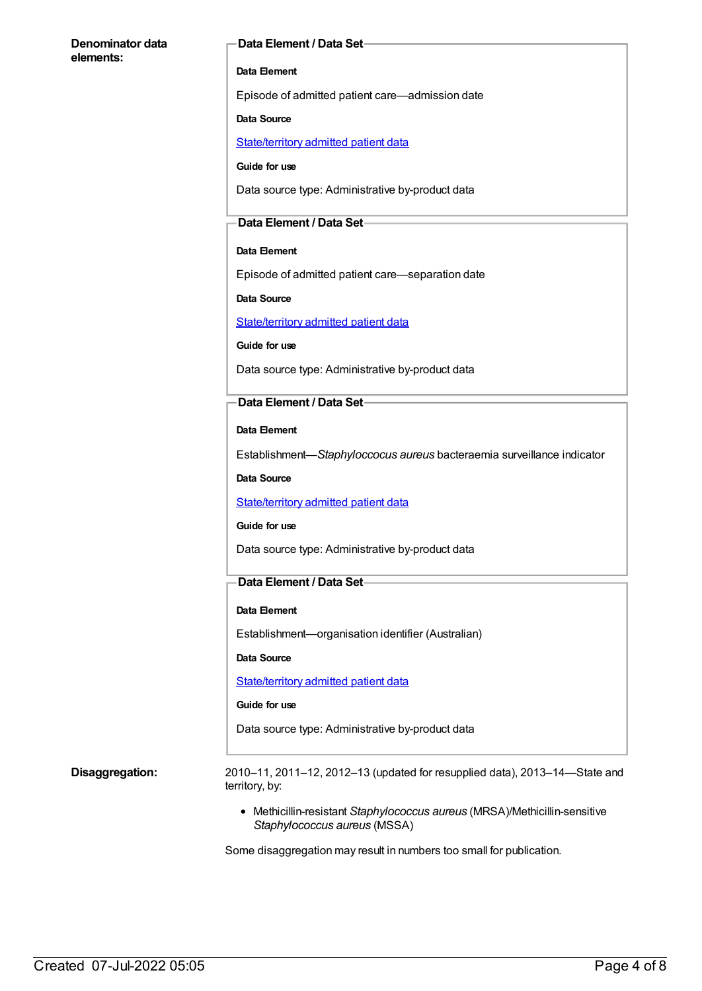#### **Denominator data elements:**

#### **Data Element / Data Set**

#### **Data Element**

Episode of admitted patient care—admission date

#### **Data Source**

[State/territory](https://meteor.aihw.gov.au/content/426458) admitted patient data

**Guide for use**

Data source type: Administrative by-product data

#### **Data Element / Data Set**

#### **Data Element**

Episode of admitted patient care—separation date

**Data Source**

[State/territory](https://meteor.aihw.gov.au/content/426458) admitted patient data

**Guide for use**

Data source type: Administrative by-product data

#### **Data Element / Data Set**

**Data Element**

Establishment—*Staphyloccocus aureus* bacteraemia surveillance indicator

**Data Source**

[State/territory](https://meteor.aihw.gov.au/content/426458) admitted patient data

#### **Guide for use**

Data source type: Administrative by-product data

### **Data Element / Data Set**

#### **Data Element**

Establishment—organisation identifier (Australian)

**Data Source**

[State/territory](https://meteor.aihw.gov.au/content/426458) admitted patient data

#### **Guide for use**

Data source type: Administrative by-product data

**Disaggregation:** 2010–11, 2011–12, 2012–13 (updated for resupplied data), 2013–14—State and territory, by:

> Methicillin-resistant *Staphylococcus aureus* (MRSA)/Methicillin-sensitive *Staphylococcus aureus* (MSSA)

Some disaggregation may result in numbers too small for publication.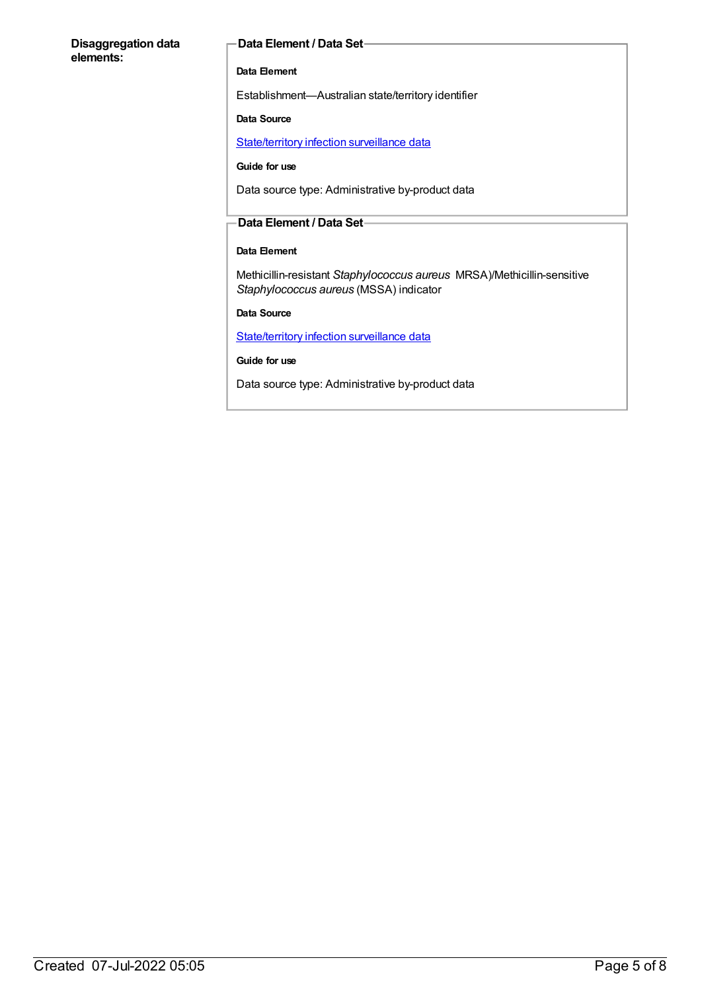#### **Disaggregation data elements:**

#### **Data Element / Data Set**

#### **Data Element**

Establishment—Australian state/territory identifier

#### **Data Source**

[State/territory](https://meteor.aihw.gov.au/content/402699) infection surveillance data

#### **Guide for use**

Data source type: Administrative by-product data

#### **Data Element / Data Set**

### **Data Element**

Methicillin-resistant *Staphylococcus aureus* MRSA)/Methicillin-sensitive *Staphylococcus aureus* (MSSA) indicator

**Data Source**

[State/territory](https://meteor.aihw.gov.au/content/402699) infection surveillance data

**Guide for use**

Data source type: Administrative by-product data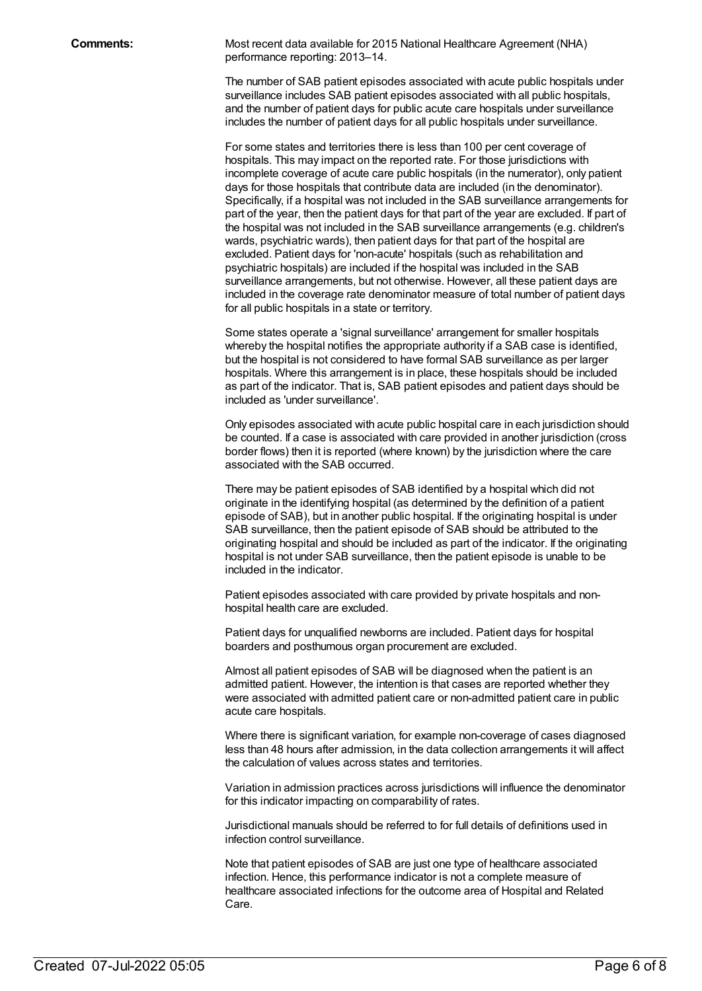**Comments:** Most recent data available for 2015 National Healthcare Agreement (NHA) performance reporting: 2013–14.

> The number of SAB patient episodes associated with acute public hospitals under surveillance includes SAB patient episodes associated with all public hospitals, and the number of patient days for public acute care hospitals under surveillance includes the number of patient days for all public hospitals under surveillance.

> For some states and territories there is less than 100 per cent coverage of hospitals. This may impact on the reported rate. For those jurisdictions with incomplete coverage of acute care public hospitals (in the numerator), only patient days for those hospitals that contribute data are included (in the denominator). Specifically, if a hospital was not included in the SAB surveillance arrangements for part of the year, then the patient days for that part of the year are excluded. If part of the hospital was not included in the SAB surveillance arrangements (e.g. children's wards, psychiatric wards), then patient days for that part of the hospital are excluded. Patient days for 'non-acute' hospitals (such as rehabilitation and psychiatric hospitals) are included if the hospital was included in the SAB surveillance arrangements, but not otherwise. However, all these patient days are included in the coverage rate denominator measure of total number of patient days for all public hospitals in a state or territory.

Some states operate a 'signal surveillance' arrangement for smaller hospitals whereby the hospital notifies the appropriate authority if a SAB case is identified, but the hospital is not considered to have formal SAB surveillance as per larger hospitals. Where this arrangement is in place, these hospitals should be included as part of the indicator. That is, SAB patient episodes and patient days should be included as 'under surveillance'.

Only episodes associated with acute public hospital care in each jurisdiction should be counted. If a case is associated with care provided in another jurisdiction (cross border flows) then it is reported (where known) by the jurisdiction where the care associated with the SAB occurred.

There may be patient episodes of SAB identified by a hospital which did not originate in the identifying hospital (as determined by the definition of a patient episode of SAB), but in another public hospital. If the originating hospital is under SAB surveillance, then the patient episode of SAB should be attributed to the originating hospital and should be included as part of the indicator. If the originating hospital is not under SAB surveillance, then the patient episode is unable to be included in the indicator.

Patient episodes associated with care provided by private hospitals and nonhospital health care are excluded.

Patient days for unqualified newborns are included. Patient days for hospital boarders and posthumous organ procurement are excluded.

Almost all patient episodes of SAB will be diagnosed when the patient is an admitted patient. However, the intention is that cases are reported whether they were associated with admitted patient care or non-admitted patient care in public acute care hospitals.

Where there is significant variation, for example non-coverage of cases diagnosed less than 48 hours after admission, in the data collection arrangements it will affect the calculation of values across states and territories.

Variation in admission practices across jurisdictions will influence the denominator for this indicator impacting on comparability of rates.

Jurisdictional manuals should be referred to for full details of definitions used in infection control surveillance.

Note that patient episodes of SAB are just one type of healthcare associated infection. Hence, this performance indicator is not a complete measure of healthcare associated infections for the outcome area of Hospital and Related Care.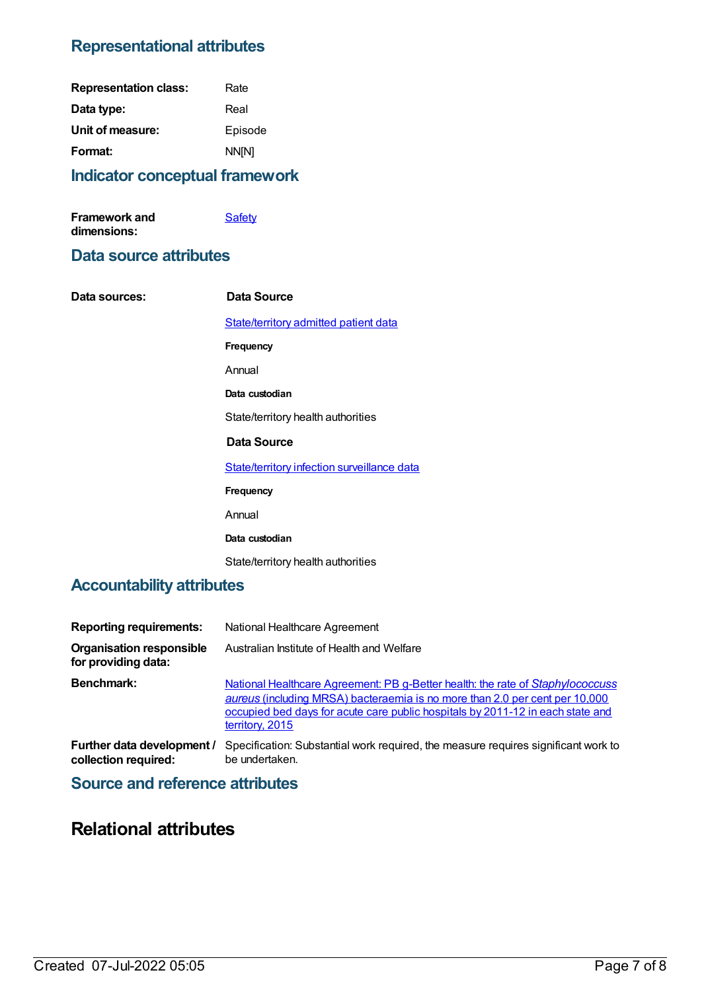### **Representational attributes**

| <b>Representation class:</b> | Rate         |
|------------------------------|--------------|
| Data type:                   | Real         |
| Unit of measure:             | Episode      |
| Format:                      | <b>NN[N]</b> |
|                              |              |

### **Indicator conceptual framework**

| <b>Framework and</b> | <b>Safety</b> |
|----------------------|---------------|
| dimensions:          |               |

### **Data source attributes**

| Data sources: | Data Source                                 |
|---------------|---------------------------------------------|
|               | State/territory admitted patient data       |
|               | <b>Frequency</b>                            |
|               | Annual                                      |
|               | Data custodian                              |
|               | State/territory health authorities          |
|               | Data Source                                 |
|               | State/territory infection surveillance data |
|               | <b>Frequency</b>                            |
|               | Annual                                      |
|               | Data custodian                              |
|               | State/territory health authorities          |
|               |                                             |

### **Accountability attributes**

| <b>Reporting requirements:</b>                         | National Healthcare Agreement                                                                                                                                                                                                                                      |
|--------------------------------------------------------|--------------------------------------------------------------------------------------------------------------------------------------------------------------------------------------------------------------------------------------------------------------------|
| <b>Organisation responsible</b><br>for providing data: | Australian Institute of Health and Welfare                                                                                                                                                                                                                         |
| <b>Benchmark:</b>                                      | National Healthcare Agreement: PB g-Better health: the rate of Staphylococcuss<br>aureus (including MRSA) bacteraemia is no more than 2.0 per cent per 10,000<br>occupied bed days for acute care public hospitals by 2011-12 in each state and<br>territory, 2015 |
| Further data development /<br>collection required:     | Specification: Substantial work required, the measure requires significant work to<br>be undertaken.                                                                                                                                                               |

### **Source and reference attributes**

### **Relational attributes**